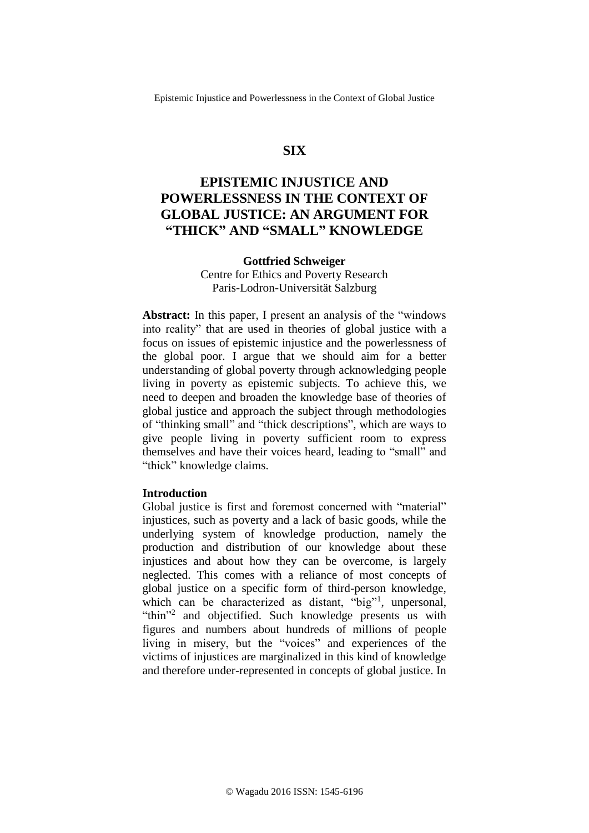# **SIX**

# **EPISTEMIC INJUSTICE AND POWERLESSNESS IN THE CONTEXT OF GLOBAL JUSTICE: AN ARGUMENT FOR "THICK" AND "SMALL" KNOWLEDGE**

### **Gottfried Schweiger**

Centre for Ethics and Poverty Research Paris-Lodron-Universität Salzburg

**Abstract:** In this paper, I present an analysis of the "windows into reality" that are used in theories of global justice with a focus on issues of epistemic injustice and the powerlessness of the global poor. I argue that we should aim for a better understanding of global poverty through acknowledging people living in poverty as epistemic subjects. To achieve this, we need to deepen and broaden the knowledge base of theories of global justice and approach the subject through methodologies of "thinking small" and "thick descriptions", which are ways to give people living in poverty sufficient room to express themselves and have their voices heard, leading to "small" and "thick" knowledge claims.

### **Introduction**

Global justice is first and foremost concerned with "material" injustices, such as poverty and a lack of basic goods, while the underlying system of knowledge production, namely the production and distribution of our knowledge about these injustices and about how they can be overcome, is largely neglected. This comes with a reliance of most concepts of global justice on a specific form of third-person knowledge, which can be characterized as distant, "big"<sup>1</sup>, unpersonal, "thin"<sup>2</sup> and objectified. Such knowledge presents us with figures and numbers about hundreds of millions of people living in misery, but the "voices" and experiences of the victims of injustices are marginalized in this kind of knowledge and therefore under-represented in concepts of global justice. In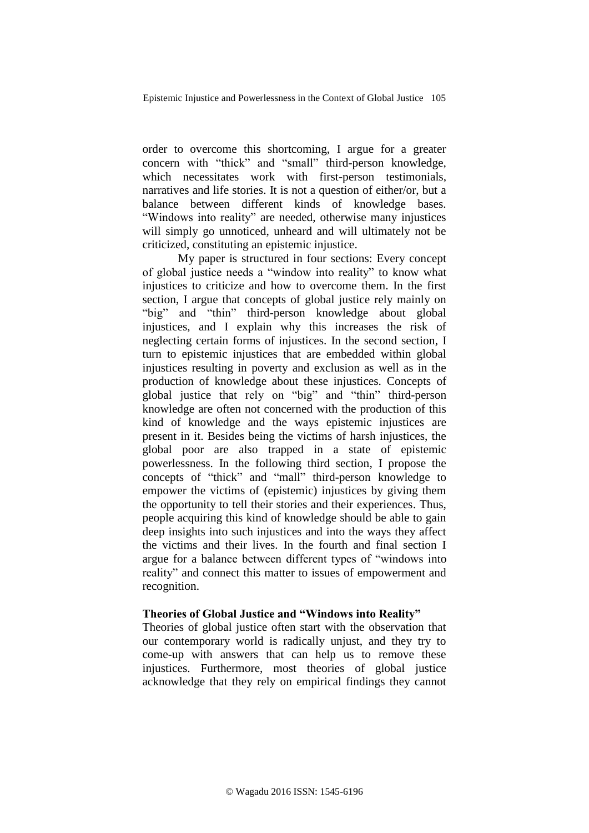order to overcome this shortcoming, I argue for a greater concern with "thick" and "small" third-person knowledge, which necessitates work with first-person testimonials, narratives and life stories. It is not a question of either/or, but a balance between different kinds of knowledge bases. "Windows into reality" are needed, otherwise many injustices will simply go unnoticed, unheard and will ultimately not be criticized, constituting an epistemic injustice.

My paper is structured in four sections: Every concept of global justice needs a "window into reality" to know what injustices to criticize and how to overcome them. In the first section, I argue that concepts of global justice rely mainly on "big" and "thin" third-person knowledge about global injustices, and I explain why this increases the risk of neglecting certain forms of injustices. In the second section, I turn to epistemic injustices that are embedded within global injustices resulting in poverty and exclusion as well as in the production of knowledge about these injustices. Concepts of global justice that rely on "big" and "thin" third-person knowledge are often not concerned with the production of this kind of knowledge and the ways epistemic injustices are present in it. Besides being the victims of harsh injustices, the global poor are also trapped in a state of epistemic powerlessness. In the following third section, I propose the concepts of "thick" and "mall" third-person knowledge to empower the victims of (epistemic) injustices by giving them the opportunity to tell their stories and their experiences. Thus, people acquiring this kind of knowledge should be able to gain deep insights into such injustices and into the ways they affect the victims and their lives. In the fourth and final section I argue for a balance between different types of "windows into reality" and connect this matter to issues of empowerment and recognition.

#### **Theories of Global Justice and "Windows into Reality"**

Theories of global justice often start with the observation that our contemporary world is radically unjust, and they try to come-up with answers that can help us to remove these injustices. Furthermore, most theories of global justice acknowledge that they rely on empirical findings they cannot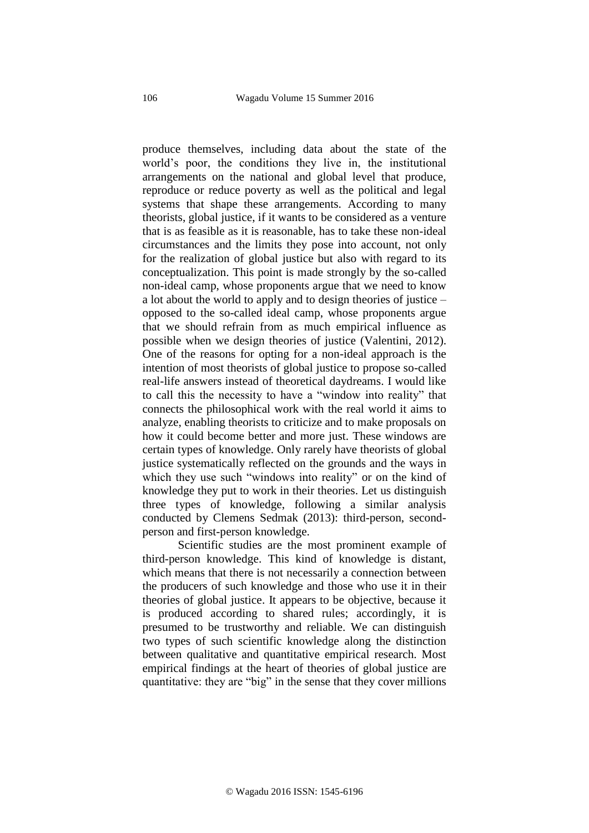produce themselves, including data about the state of the world's poor, the conditions they live in, the institutional arrangements on the national and global level that produce, reproduce or reduce poverty as well as the political and legal systems that shape these arrangements. According to many theorists, global justice, if it wants to be considered as a venture that is as feasible as it is reasonable, has to take these non-ideal circumstances and the limits they pose into account, not only for the realization of global justice but also with regard to its conceptualization. This point is made strongly by the so-called non-ideal camp, whose proponents argue that we need to know a lot about the world to apply and to design theories of justice – opposed to the so-called ideal camp, whose proponents argue that we should refrain from as much empirical influence as possible when we design theories of justice (Valentini, 2012). One of the reasons for opting for a non-ideal approach is the intention of most theorists of global justice to propose so-called real-life answers instead of theoretical daydreams. I would like to call this the necessity to have a "window into reality" that connects the philosophical work with the real world it aims to analyze, enabling theorists to criticize and to make proposals on how it could become better and more just. These windows are certain types of knowledge. Only rarely have theorists of global justice systematically reflected on the grounds and the ways in which they use such "windows into reality" or on the kind of knowledge they put to work in their theories. Let us distinguish three types of knowledge, following a similar analysis conducted by Clemens Sedmak (2013): third-person, secondperson and first-person knowledge.

Scientific studies are the most prominent example of third-person knowledge. This kind of knowledge is distant, which means that there is not necessarily a connection between the producers of such knowledge and those who use it in their theories of global justice. It appears to be objective, because it is produced according to shared rules; accordingly, it is presumed to be trustworthy and reliable. We can distinguish two types of such scientific knowledge along the distinction between qualitative and quantitative empirical research. Most empirical findings at the heart of theories of global justice are quantitative: they are "big" in the sense that they cover millions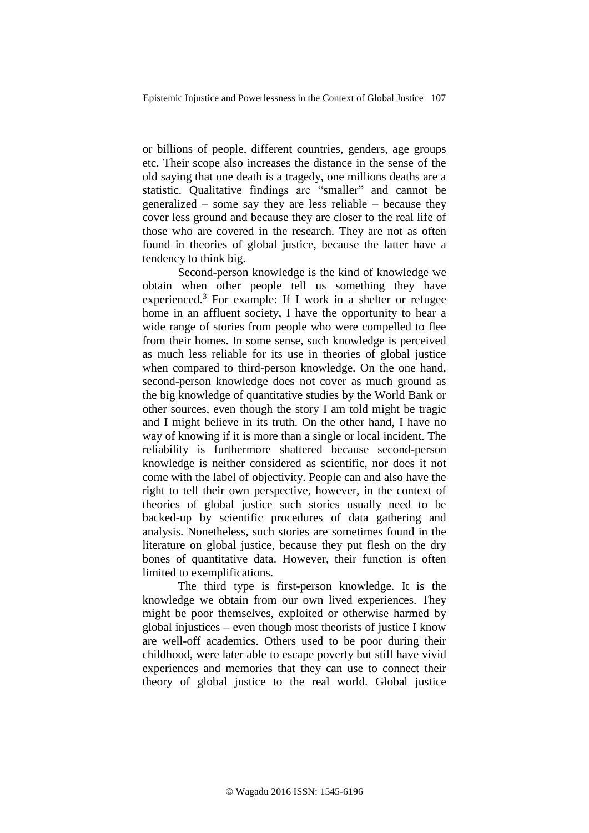or billions of people, different countries, genders, age groups etc. Their scope also increases the distance in the sense of the old saying that one death is a tragedy, one millions deaths are a statistic. Qualitative findings are "smaller" and cannot be generalized – some say they are less reliable – because they cover less ground and because they are closer to the real life of those who are covered in the research. They are not as often found in theories of global justice, because the latter have a tendency to think big.

Second-person knowledge is the kind of knowledge we obtain when other people tell us something they have experienced.<sup>3</sup> For example: If I work in a shelter or refugee home in an affluent society, I have the opportunity to hear a wide range of stories from people who were compelled to flee from their homes. In some sense, such knowledge is perceived as much less reliable for its use in theories of global justice when compared to third-person knowledge. On the one hand, second-person knowledge does not cover as much ground as the big knowledge of quantitative studies by the World Bank or other sources, even though the story I am told might be tragic and I might believe in its truth. On the other hand, I have no way of knowing if it is more than a single or local incident. The reliability is furthermore shattered because second-person knowledge is neither considered as scientific, nor does it not come with the label of objectivity. People can and also have the right to tell their own perspective, however, in the context of theories of global justice such stories usually need to be backed-up by scientific procedures of data gathering and analysis. Nonetheless, such stories are sometimes found in the literature on global justice, because they put flesh on the dry bones of quantitative data. However, their function is often limited to exemplifications.

The third type is first-person knowledge. It is the knowledge we obtain from our own lived experiences. They might be poor themselves, exploited or otherwise harmed by global injustices – even though most theorists of justice I know are well-off academics. Others used to be poor during their childhood, were later able to escape poverty but still have vivid experiences and memories that they can use to connect their theory of global justice to the real world. Global justice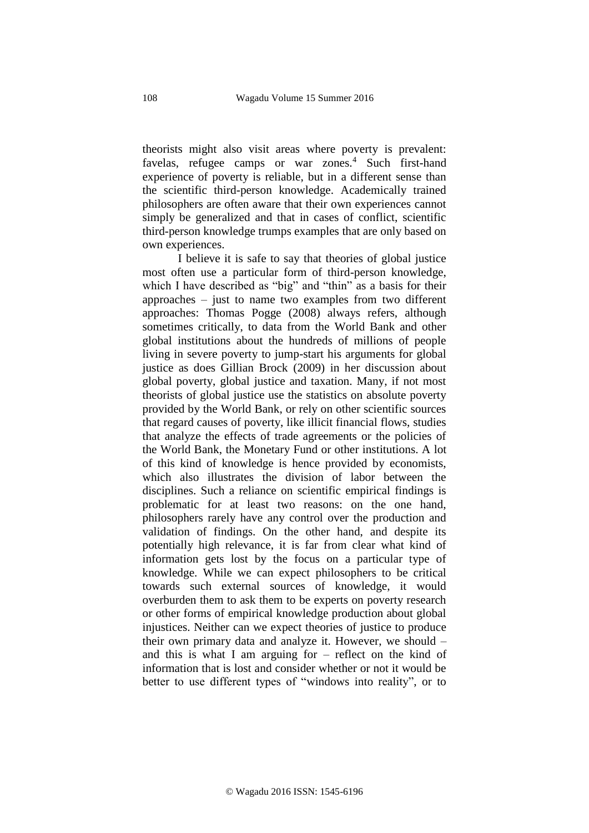theorists might also visit areas where poverty is prevalent: favelas, refugee camps or war zones.<sup>4</sup> Such first-hand experience of poverty is reliable, but in a different sense than the scientific third-person knowledge. Academically trained philosophers are often aware that their own experiences cannot simply be generalized and that in cases of conflict, scientific third-person knowledge trumps examples that are only based on own experiences.

I believe it is safe to say that theories of global justice most often use a particular form of third-person knowledge, which I have described as "big" and "thin" as a basis for their approaches – just to name two examples from two different approaches: Thomas Pogge (2008) always refers, although sometimes critically, to data from the World Bank and other global institutions about the hundreds of millions of people living in severe poverty to jump-start his arguments for global justice as does Gillian Brock (2009) in her discussion about global poverty, global justice and taxation. Many, if not most theorists of global justice use the statistics on absolute poverty provided by the World Bank, or rely on other scientific sources that regard causes of poverty, like illicit financial flows, studies that analyze the effects of trade agreements or the policies of the World Bank, the Monetary Fund or other institutions. A lot of this kind of knowledge is hence provided by economists, which also illustrates the division of labor between the disciplines. Such a reliance on scientific empirical findings is problematic for at least two reasons: on the one hand, philosophers rarely have any control over the production and validation of findings. On the other hand, and despite its potentially high relevance, it is far from clear what kind of information gets lost by the focus on a particular type of knowledge. While we can expect philosophers to be critical towards such external sources of knowledge, it would overburden them to ask them to be experts on poverty research or other forms of empirical knowledge production about global injustices. Neither can we expect theories of justice to produce their own primary data and analyze it. However, we should – and this is what I am arguing for – reflect on the kind of information that is lost and consider whether or not it would be better to use different types of "windows into reality", or to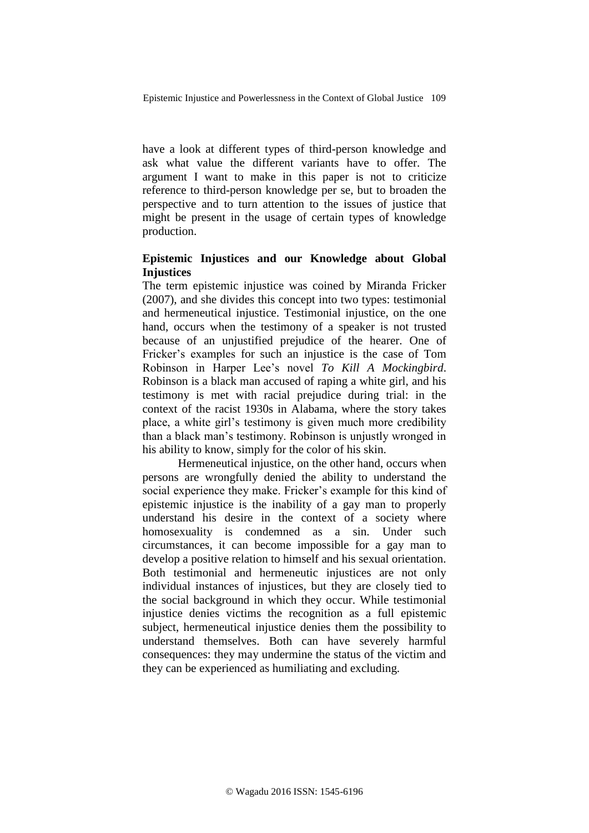have a look at different types of third-person knowledge and ask what value the different variants have to offer. The argument I want to make in this paper is not to criticize reference to third-person knowledge per se, but to broaden the perspective and to turn attention to the issues of justice that might be present in the usage of certain types of knowledge production.

# **Epistemic Injustices and our Knowledge about Global Injustices**

The term epistemic injustice was coined by Miranda Fricker (2007), and she divides this concept into two types: testimonial and hermeneutical injustice. Testimonial injustice, on the one hand, occurs when the testimony of a speaker is not trusted because of an unjustified prejudice of the hearer. One of Fricker's examples for such an injustice is the case of Tom Robinson in Harper Lee's novel *To Kill A Mockingbird*. Robinson is a black man accused of raping a white girl, and his testimony is met with racial prejudice during trial: in the context of the racist 1930s in Alabama, where the story takes place, a white girl's testimony is given much more credibility than a black man's testimony. Robinson is unjustly wronged in his ability to know, simply for the color of his skin.

Hermeneutical injustice, on the other hand, occurs when persons are wrongfully denied the ability to understand the social experience they make. Fricker's example for this kind of epistemic injustice is the inability of a gay man to properly understand his desire in the context of a society where homosexuality is condemned as a sin. Under such circumstances, it can become impossible for a gay man to develop a positive relation to himself and his sexual orientation. Both testimonial and hermeneutic injustices are not only individual instances of injustices, but they are closely tied to the social background in which they occur. While testimonial injustice denies victims the recognition as a full epistemic subject, hermeneutical injustice denies them the possibility to understand themselves. Both can have severely harmful consequences: they may undermine the status of the victim and they can be experienced as humiliating and excluding.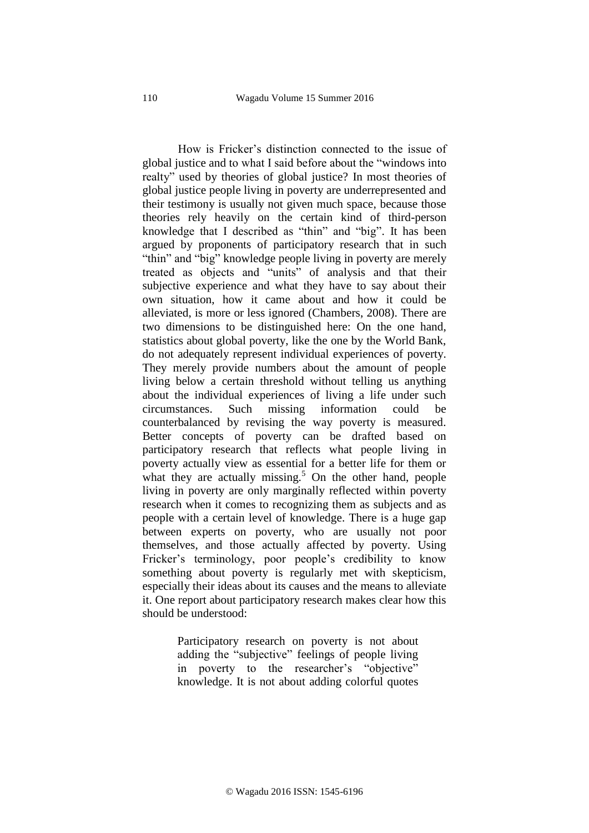How is Fricker's distinction connected to the issue of global justice and to what I said before about the "windows into realty" used by theories of global justice? In most theories of global justice people living in poverty are underrepresented and their testimony is usually not given much space, because those theories rely heavily on the certain kind of third-person knowledge that I described as "thin" and "big". It has been argued by proponents of participatory research that in such "thin" and "big" knowledge people living in poverty are merely treated as objects and "units" of analysis and that their subjective experience and what they have to say about their own situation, how it came about and how it could be alleviated, is more or less ignored (Chambers, 2008). There are two dimensions to be distinguished here: On the one hand, statistics about global poverty, like the one by the World Bank, do not adequately represent individual experiences of poverty. They merely provide numbers about the amount of people living below a certain threshold without telling us anything about the individual experiences of living a life under such circumstances. Such missing information could be counterbalanced by revising the way poverty is measured. Better concepts of poverty can be drafted based on participatory research that reflects what people living in poverty actually view as essential for a better life for them or what they are actually missing.<sup>5</sup> On the other hand, people living in poverty are only marginally reflected within poverty research when it comes to recognizing them as subjects and as people with a certain level of knowledge. There is a huge gap between experts on poverty, who are usually not poor themselves, and those actually affected by poverty. Using Fricker's terminology, poor people's credibility to know something about poverty is regularly met with skepticism, especially their ideas about its causes and the means to alleviate it. One report about participatory research makes clear how this should be understood:

> Participatory research on poverty is not about adding the "subjective" feelings of people living in poverty to the researcher's "objective" knowledge. It is not about adding colorful quotes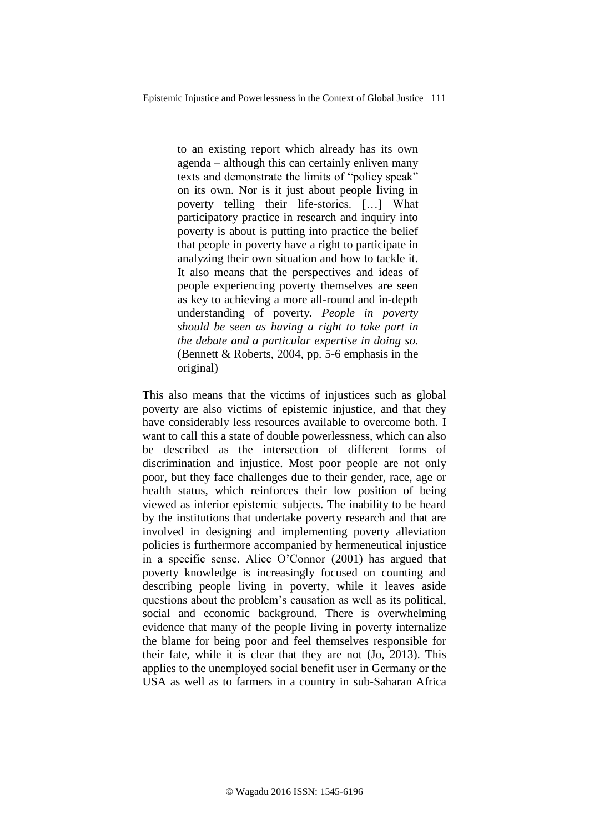to an existing report which already has its own agenda – although this can certainly enliven many texts and demonstrate the limits of "policy speak" on its own. Nor is it just about people living in poverty telling their life-stories. […] What participatory practice in research and inquiry into poverty is about is putting into practice the belief that people in poverty have a right to participate in analyzing their own situation and how to tackle it. It also means that the perspectives and ideas of people experiencing poverty themselves are seen as key to achieving a more all-round and in-depth understanding of poverty*. People in poverty should be seen as having a right to take part in the debate and a particular expertise in doing so.* (Bennett & Roberts, 2004, pp. 5-6 emphasis in the original)

This also means that the victims of injustices such as global poverty are also victims of epistemic injustice, and that they have considerably less resources available to overcome both. I want to call this a state of double powerlessness, which can also be described as the intersection of different forms of discrimination and injustice. Most poor people are not only poor, but they face challenges due to their gender, race, age or health status, which reinforces their low position of being viewed as inferior epistemic subjects. The inability to be heard by the institutions that undertake poverty research and that are involved in designing and implementing poverty alleviation policies is furthermore accompanied by hermeneutical injustice in a specific sense. Alice O'Connor (2001) has argued that poverty knowledge is increasingly focused on counting and describing people living in poverty, while it leaves aside questions about the problem's causation as well as its political, social and economic background. There is overwhelming evidence that many of the people living in poverty internalize the blame for being poor and feel themselves responsible for their fate, while it is clear that they are not (Jo, 2013). This applies to the unemployed social benefit user in Germany or the USA as well as to farmers in a country in sub-Saharan Africa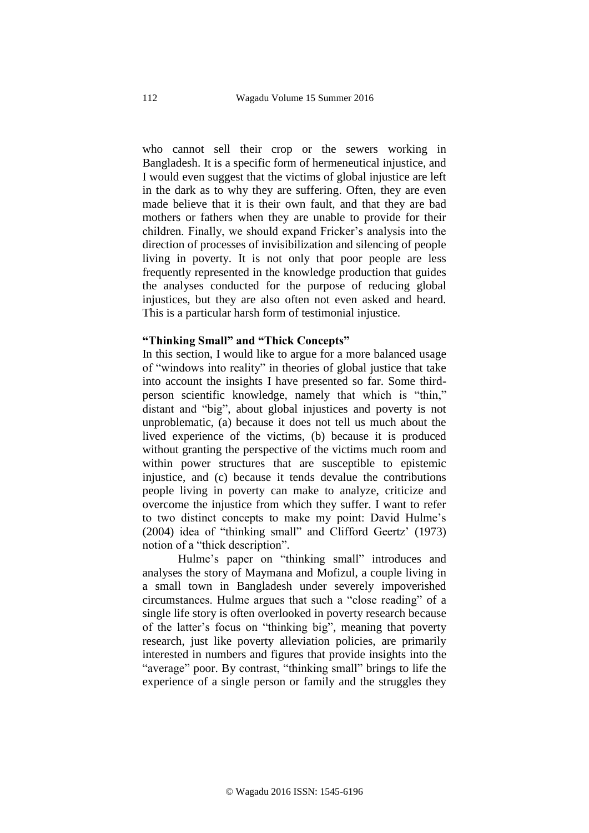who cannot sell their crop or the sewers working in Bangladesh. It is a specific form of hermeneutical injustice, and I would even suggest that the victims of global injustice are left in the dark as to why they are suffering. Often, they are even made believe that it is their own fault, and that they are bad mothers or fathers when they are unable to provide for their children. Finally, we should expand Fricker's analysis into the direction of processes of invisibilization and silencing of people living in poverty. It is not only that poor people are less frequently represented in the knowledge production that guides the analyses conducted for the purpose of reducing global injustices, but they are also often not even asked and heard. This is a particular harsh form of testimonial injustice.

### **"Thinking Small" and "Thick Concepts"**

In this section, I would like to argue for a more balanced usage of "windows into reality" in theories of global justice that take into account the insights I have presented so far. Some thirdperson scientific knowledge, namely that which is "thin," distant and "big", about global injustices and poverty is not unproblematic, (a) because it does not tell us much about the lived experience of the victims, (b) because it is produced without granting the perspective of the victims much room and within power structures that are susceptible to epistemic injustice, and (c) because it tends devalue the contributions people living in poverty can make to analyze, criticize and overcome the injustice from which they suffer. I want to refer to two distinct concepts to make my point: David Hulme's (2004) idea of "thinking small" and Clifford Geertz' (1973) notion of a "thick description".

Hulme's paper on "thinking small" introduces and analyses the story of Maymana and Mofizul, a couple living in a small town in Bangladesh under severely impoverished circumstances. Hulme argues that such a "close reading" of a single life story is often overlooked in poverty research because of the latter's focus on "thinking big", meaning that poverty research, just like poverty alleviation policies, are primarily interested in numbers and figures that provide insights into the "average" poor. By contrast, "thinking small" brings to life the experience of a single person or family and the struggles they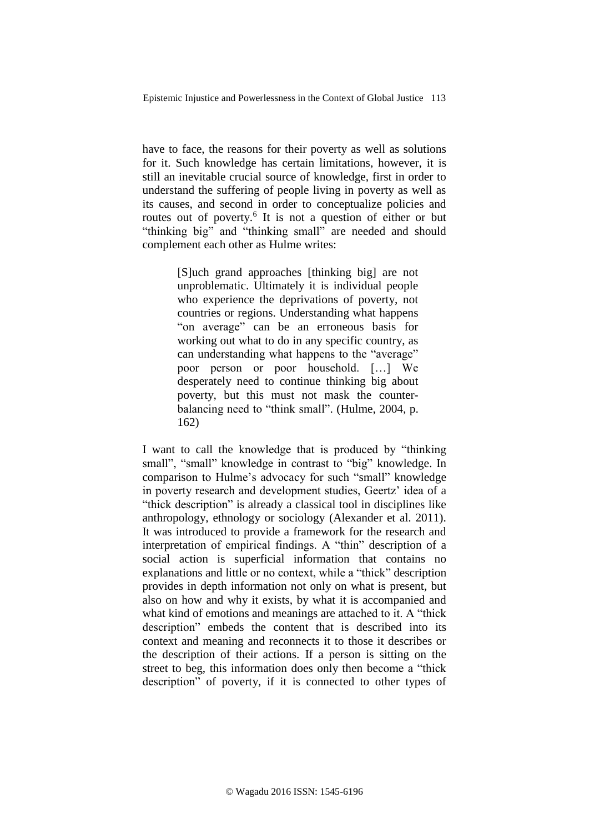have to face, the reasons for their poverty as well as solutions for it. Such knowledge has certain limitations, however, it is still an inevitable crucial source of knowledge, first in order to understand the suffering of people living in poverty as well as its causes, and second in order to conceptualize policies and routes out of poverty.<sup>6</sup> It is not a question of either or but "thinking big" and "thinking small" are needed and should complement each other as Hulme writes:

> [S]uch grand approaches [thinking big] are not unproblematic. Ultimately it is individual people who experience the deprivations of poverty, not countries or regions. Understanding what happens "on average" can be an erroneous basis for working out what to do in any specific country, as can understanding what happens to the "average" poor person or poor household. […] We desperately need to continue thinking big about poverty, but this must not mask the counterbalancing need to "think small". (Hulme, 2004, p. 162)

I want to call the knowledge that is produced by "thinking small", "small" knowledge in contrast to "big" knowledge. In comparison to Hulme's advocacy for such "small" knowledge in poverty research and development studies, Geertz' idea of a "thick description" is already a classical tool in disciplines like anthropology, ethnology or sociology (Alexander et al. 2011). It was introduced to provide a framework for the research and interpretation of empirical findings. A "thin" description of a social action is superficial information that contains no explanations and little or no context, while a "thick" description provides in depth information not only on what is present, but also on how and why it exists, by what it is accompanied and what kind of emotions and meanings are attached to it. A "thick" description" embeds the content that is described into its context and meaning and reconnects it to those it describes or the description of their actions. If a person is sitting on the street to beg, this information does only then become a "thick description" of poverty, if it is connected to other types of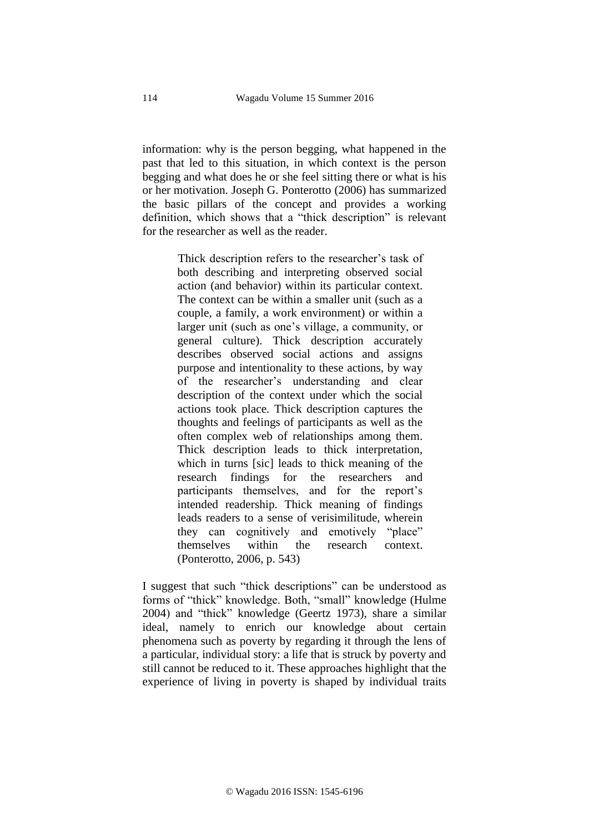information: why is the person begging, what happened in the past that led to this situation, in which context is the person begging and what does he or she feel sitting there or what is his or her motivation. Joseph G. Ponterotto (2006) has summarized the basic pillars of the concept and provides a working definition, which shows that a "thick description" is relevant for the researcher as well as the reader.

> Thick description refers to the researcher's task of both describing and interpreting observed social action (and behavior) within its particular context. The context can be within a smaller unit (such as a couple, a family, a work environment) or within a larger unit (such as one's village, a community, or general culture). Thick description accurately describes observed social actions and assigns purpose and intentionality to these actions, by way of the researcher's understanding and clear description of the context under which the social actions took place. Thick description captures the thoughts and feelings of participants as well as the often complex web of relationships among them. Thick description leads to thick interpretation, which in turns [sic] leads to thick meaning of the research findings for the researchers and participants themselves, and for the report's intended readership. Thick meaning of findings leads readers to a sense of verisimilitude, wherein they can cognitively and emotively "place" themselves within the research context. (Ponterotto, 2006, p. 543)

I suggest that such "thick descriptions" can be understood as forms of "thick" knowledge. Both, "small" knowledge (Hulme 2004) and "thick" knowledge (Geertz 1973), share a similar ideal, namely to enrich our knowledge about certain phenomena such as poverty by regarding it through the lens of a particular, individual story: a life that is struck by poverty and still cannot be reduced to it. These approaches highlight that the experience of living in poverty is shaped by individual traits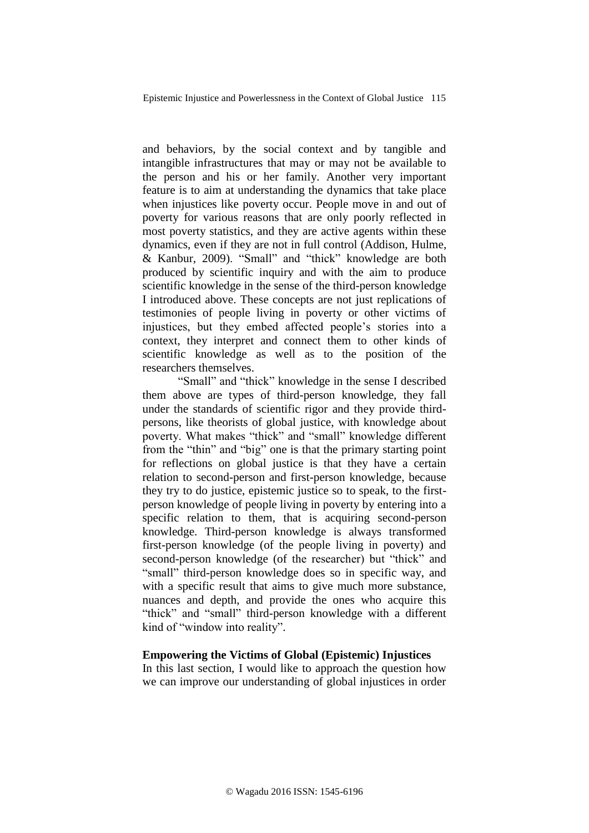and behaviors, by the social context and by tangible and intangible infrastructures that may or may not be available to the person and his or her family. Another very important feature is to aim at understanding the dynamics that take place when injustices like poverty occur. People move in and out of poverty for various reasons that are only poorly reflected in most poverty statistics, and they are active agents within these dynamics, even if they are not in full control (Addison, Hulme, & Kanbur, 2009). "Small" and "thick" knowledge are both produced by scientific inquiry and with the aim to produce scientific knowledge in the sense of the third-person knowledge I introduced above. These concepts are not just replications of testimonies of people living in poverty or other victims of injustices, but they embed affected people's stories into a context, they interpret and connect them to other kinds of scientific knowledge as well as to the position of the researchers themselves.

"Small" and "thick" knowledge in the sense I described them above are types of third-person knowledge, they fall under the standards of scientific rigor and they provide thirdpersons, like theorists of global justice, with knowledge about poverty. What makes "thick" and "small" knowledge different from the "thin" and "big" one is that the primary starting point for reflections on global justice is that they have a certain relation to second-person and first-person knowledge, because they try to do justice, epistemic justice so to speak, to the firstperson knowledge of people living in poverty by entering into a specific relation to them, that is acquiring second-person knowledge. Third-person knowledge is always transformed first-person knowledge (of the people living in poverty) and second-person knowledge (of the researcher) but "thick" and "small" third-person knowledge does so in specific way, and with a specific result that aims to give much more substance, nuances and depth, and provide the ones who acquire this "thick" and "small" third-person knowledge with a different kind of "window into reality".

### **Empowering the Victims of Global (Epistemic) Injustices**

In this last section, I would like to approach the question how we can improve our understanding of global injustices in order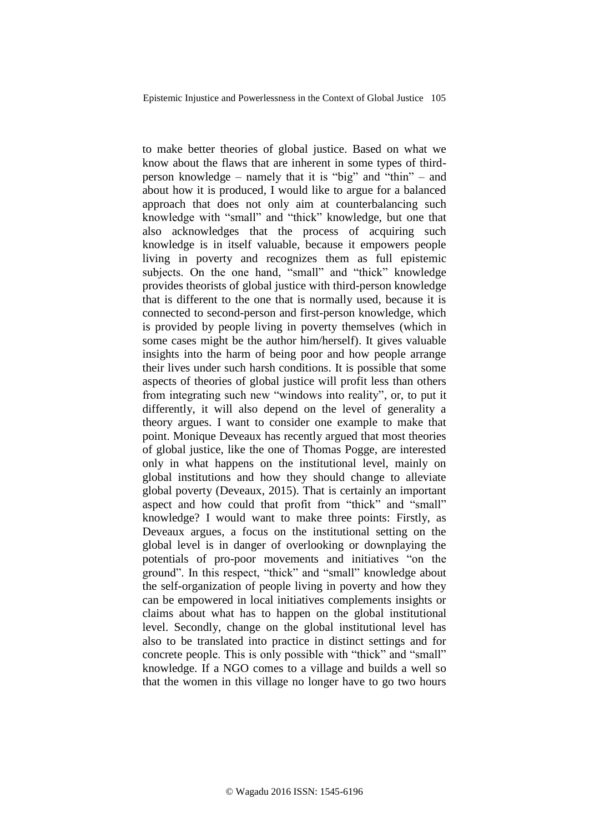to make better theories of global justice. Based on what we know about the flaws that are inherent in some types of thirdperson knowledge – namely that it is "big" and "thin" – and about how it is produced, I would like to argue for a balanced approach that does not only aim at counterbalancing such knowledge with "small" and "thick" knowledge, but one that also acknowledges that the process of acquiring such knowledge is in itself valuable, because it empowers people living in poverty and recognizes them as full epistemic subjects. On the one hand, "small" and "thick" knowledge provides theorists of global justice with third-person knowledge that is different to the one that is normally used, because it is connected to second-person and first-person knowledge, which is provided by people living in poverty themselves (which in some cases might be the author him/herself). It gives valuable insights into the harm of being poor and how people arrange their lives under such harsh conditions. It is possible that some aspects of theories of global justice will profit less than others from integrating such new "windows into reality", or, to put it differently, it will also depend on the level of generality a theory argues. I want to consider one example to make that point. Monique Deveaux has recently argued that most theories of global justice, like the one of Thomas Pogge, are interested only in what happens on the institutional level, mainly on global institutions and how they should change to alleviate global poverty (Deveaux, 2015). That is certainly an important aspect and how could that profit from "thick" and "small" knowledge? I would want to make three points: Firstly, as Deveaux argues, a focus on the institutional setting on the global level is in danger of overlooking or downplaying the potentials of pro-poor movements and initiatives "on the ground". In this respect, "thick" and "small" knowledge about the self-organization of people living in poverty and how they can be empowered in local initiatives complements insights or claims about what has to happen on the global institutional level. Secondly, change on the global institutional level has also to be translated into practice in distinct settings and for concrete people. This is only possible with "thick" and "small" knowledge. If a NGO comes to a village and builds a well so that the women in this village no longer have to go two hours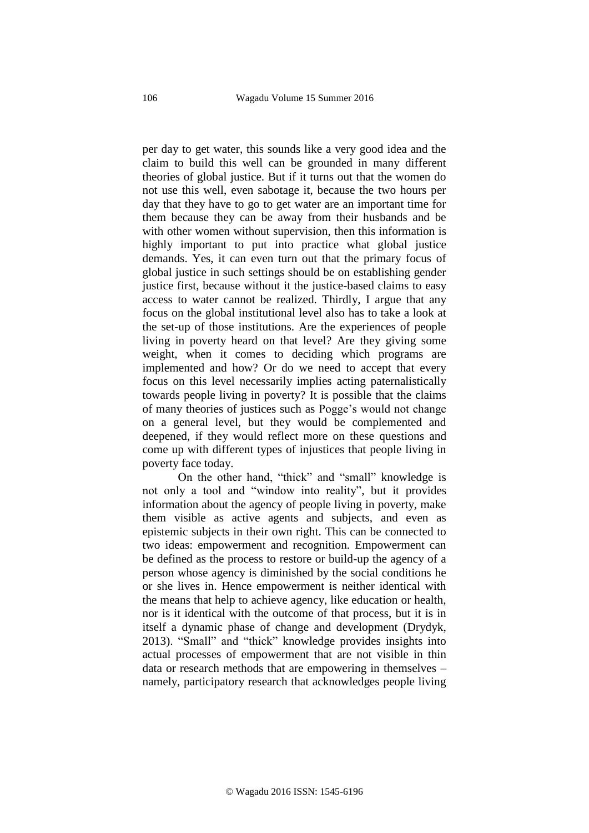per day to get water, this sounds like a very good idea and the claim to build this well can be grounded in many different theories of global justice. But if it turns out that the women do not use this well, even sabotage it, because the two hours per day that they have to go to get water are an important time for them because they can be away from their husbands and be with other women without supervision, then this information is highly important to put into practice what global justice demands. Yes, it can even turn out that the primary focus of global justice in such settings should be on establishing gender justice first, because without it the justice-based claims to easy access to water cannot be realized. Thirdly, I argue that any focus on the global institutional level also has to take a look at the set-up of those institutions. Are the experiences of people living in poverty heard on that level? Are they giving some weight, when it comes to deciding which programs are implemented and how? Or do we need to accept that every focus on this level necessarily implies acting paternalistically towards people living in poverty? It is possible that the claims of many theories of justices such as Pogge's would not change on a general level, but they would be complemented and deepened, if they would reflect more on these questions and come up with different types of injustices that people living in poverty face today.

On the other hand, "thick" and "small" knowledge is not only a tool and "window into reality", but it provides information about the agency of people living in poverty, make them visible as active agents and subjects, and even as epistemic subjects in their own right. This can be connected to two ideas: empowerment and recognition. Empowerment can be defined as the process to restore or build-up the agency of a person whose agency is diminished by the social conditions he or she lives in. Hence empowerment is neither identical with the means that help to achieve agency, like education or health, nor is it identical with the outcome of that process, but it is in itself a dynamic phase of change and development (Drydyk, 2013). "Small" and "thick" knowledge provides insights into actual processes of empowerment that are not visible in thin data or research methods that are empowering in themselves – namely, participatory research that acknowledges people living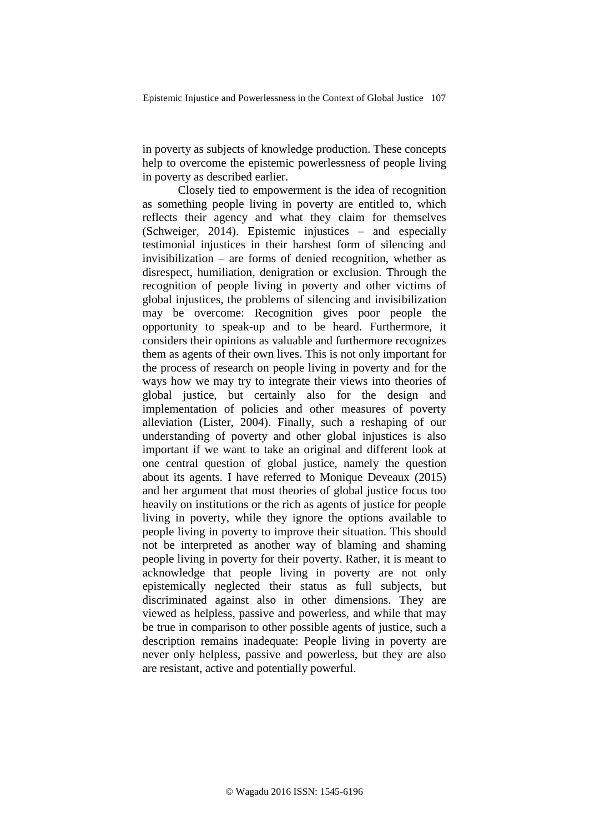in poverty as subjects of knowledge production. These concepts help to overcome the epistemic powerlessness of people living in poverty as described earlier.

Closely tied to empowerment is the idea of recognition as something people living in poverty are entitled to, which reflects their agency and what they claim for themselves (Schweiger, 2014). Epistemic injustices – and especially testimonial injustices in their harshest form of silencing and invisibilization – are forms of denied recognition, whether as disrespect, humiliation, denigration or exclusion. Through the recognition of people living in poverty and other victims of global injustices, the problems of silencing and invisibilization may be overcome: Recognition gives poor people the opportunity to speak-up and to be heard. Furthermore, it considers their opinions as valuable and furthermore recognizes them as agents of their own lives. This is not only important for the process of research on people living in poverty and for the ways how we may try to integrate their views into theories of global justice, but certainly also for the design and implementation of policies and other measures of poverty alleviation (Lister, 2004). Finally, such a reshaping of our understanding of poverty and other global injustices is also important if we want to take an original and different look at one central question of global justice, namely the question about its agents. I have referred to Monique Deveaux (2015) and her argument that most theories of global justice focus too heavily on institutions or the rich as agents of justice for people living in poverty, while they ignore the options available to people living in poverty to improve their situation. This should not be interpreted as another way of blaming and shaming people living in poverty for their poverty. Rather, it is meant to acknowledge that people living in poverty are not only epistemically neglected their status as full subjects, but discriminated against also in other dimensions. They are viewed as helpless, passive and powerless, and while that may be true in comparison to other possible agents of justice, such a description remains inadequate: People living in poverty are never only helpless, passive and powerless, but they are also are resistant, active and potentially powerful.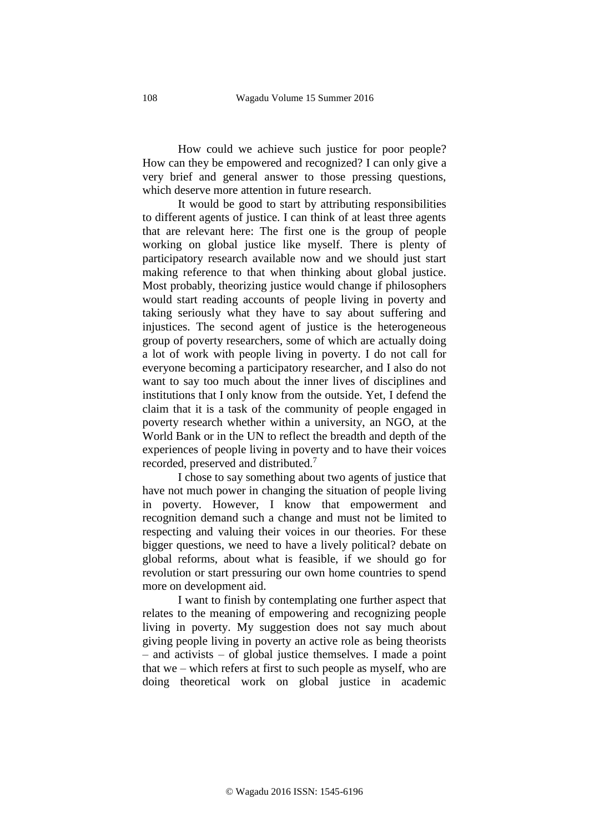How could we achieve such justice for poor people? How can they be empowered and recognized? I can only give a very brief and general answer to those pressing questions, which deserve more attention in future research.

It would be good to start by attributing responsibilities to different agents of justice. I can think of at least three agents that are relevant here: The first one is the group of people working on global justice like myself. There is plenty of participatory research available now and we should just start making reference to that when thinking about global justice. Most probably, theorizing justice would change if philosophers would start reading accounts of people living in poverty and taking seriously what they have to say about suffering and injustices. The second agent of justice is the heterogeneous group of poverty researchers, some of which are actually doing a lot of work with people living in poverty. I do not call for everyone becoming a participatory researcher, and I also do not want to say too much about the inner lives of disciplines and institutions that I only know from the outside. Yet, I defend the claim that it is a task of the community of people engaged in poverty research whether within a university, an NGO, at the World Bank or in the UN to reflect the breadth and depth of the experiences of people living in poverty and to have their voices recorded, preserved and distributed.<sup>7</sup>

I chose to say something about two agents of justice that have not much power in changing the situation of people living in poverty. However, I know that empowerment and recognition demand such a change and must not be limited to respecting and valuing their voices in our theories. For these bigger questions, we need to have a lively political? debate on global reforms, about what is feasible, if we should go for revolution or start pressuring our own home countries to spend more on development aid.

I want to finish by contemplating one further aspect that relates to the meaning of empowering and recognizing people living in poverty. My suggestion does not say much about giving people living in poverty an active role as being theorists – and activists – of global justice themselves. I made a point that we – which refers at first to such people as myself, who are doing theoretical work on global justice in academic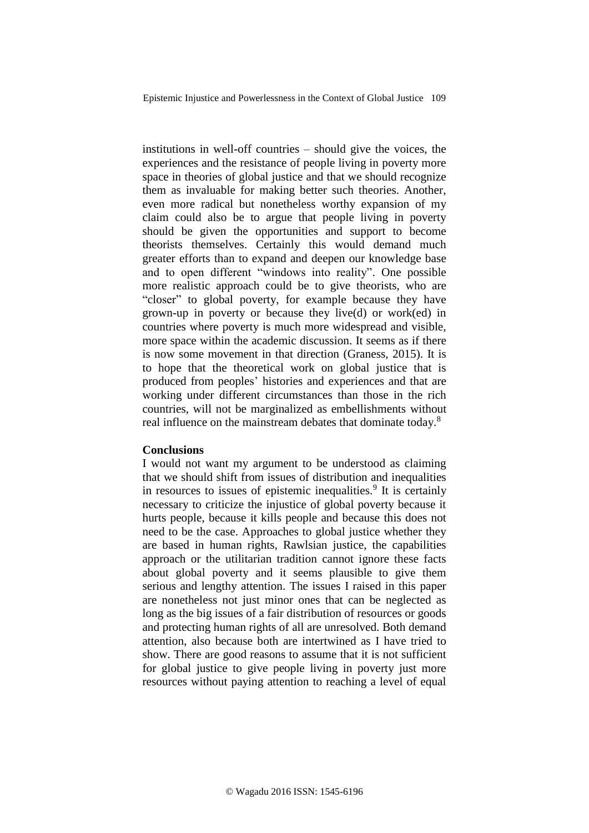institutions in well-off countries – should give the voices, the experiences and the resistance of people living in poverty more space in theories of global justice and that we should recognize them as invaluable for making better such theories. Another, even more radical but nonetheless worthy expansion of my claim could also be to argue that people living in poverty should be given the opportunities and support to become theorists themselves. Certainly this would demand much greater efforts than to expand and deepen our knowledge base and to open different "windows into reality". One possible more realistic approach could be to give theorists, who are "closer" to global poverty, for example because they have grown-up in poverty or because they live(d) or work(ed) in countries where poverty is much more widespread and visible, more space within the academic discussion. It seems as if there is now some movement in that direction (Graness, 2015). It is to hope that the theoretical work on global justice that is produced from peoples' histories and experiences and that are working under different circumstances than those in the rich countries, will not be marginalized as embellishments without real influence on the mainstream debates that dominate today.<sup>8</sup>

### **Conclusions**

I would not want my argument to be understood as claiming that we should shift from issues of distribution and inequalities in resources to issues of epistemic inequalities.<sup>9</sup> It is certainly necessary to criticize the injustice of global poverty because it hurts people, because it kills people and because this does not need to be the case. Approaches to global justice whether they are based in human rights, Rawlsian justice, the capabilities approach or the utilitarian tradition cannot ignore these facts about global poverty and it seems plausible to give them serious and lengthy attention. The issues I raised in this paper are nonetheless not just minor ones that can be neglected as long as the big issues of a fair distribution of resources or goods and protecting human rights of all are unresolved. Both demand attention, also because both are intertwined as I have tried to show. There are good reasons to assume that it is not sufficient for global justice to give people living in poverty just more resources without paying attention to reaching a level of equal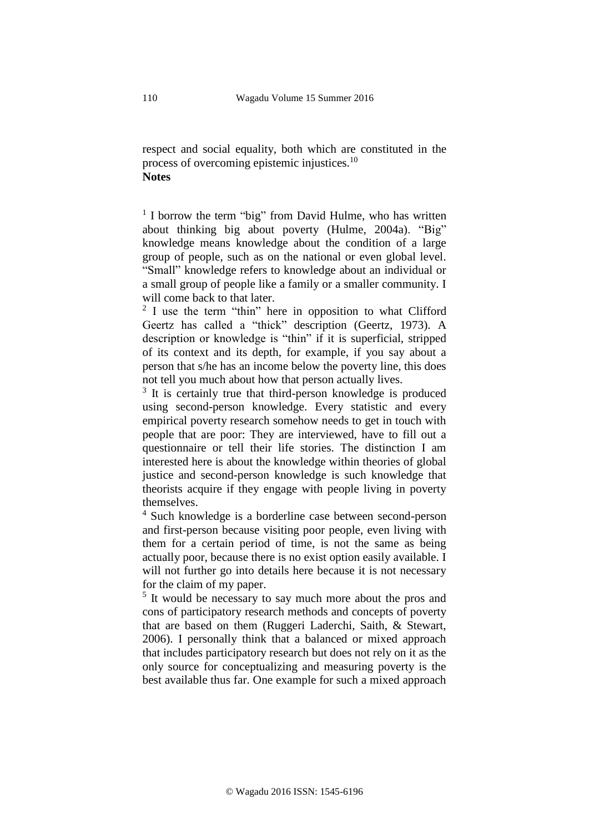respect and social equality, both which are constituted in the process of overcoming epistemic injustices.<sup>10</sup> **Notes**

<sup>1</sup> I borrow the term "big" from David Hulme, who has written about thinking big about poverty (Hulme, 2004a). "Big" knowledge means knowledge about the condition of a large group of people, such as on the national or even global level. "Small" knowledge refers to knowledge about an individual or a small group of people like a family or a smaller community. I will come back to that later.

<sup>2</sup> I use the term "thin" here in opposition to what Clifford Geertz has called a "thick" description (Geertz, 1973). A description or knowledge is "thin" if it is superficial, stripped of its context and its depth, for example, if you say about a person that s/he has an income below the poverty line, this does not tell you much about how that person actually lives.

<sup>3</sup> It is certainly true that third-person knowledge is produced using second-person knowledge. Every statistic and every empirical poverty research somehow needs to get in touch with people that are poor: They are interviewed, have to fill out a questionnaire or tell their life stories. The distinction I am interested here is about the knowledge within theories of global justice and second-person knowledge is such knowledge that theorists acquire if they engage with people living in poverty themselves.

<sup>4</sup> Such knowledge is a borderline case between second-person and first-person because visiting poor people, even living with them for a certain period of time, is not the same as being actually poor, because there is no exist option easily available. I will not further go into details here because it is not necessary for the claim of my paper.

<sup>5</sup> It would be necessary to say much more about the pros and cons of participatory research methods and concepts of poverty that are based on them (Ruggeri Laderchi, Saith, & Stewart, 2006). I personally think that a balanced or mixed approach that includes participatory research but does not rely on it as the only source for conceptualizing and measuring poverty is the best available thus far. One example for such a mixed approach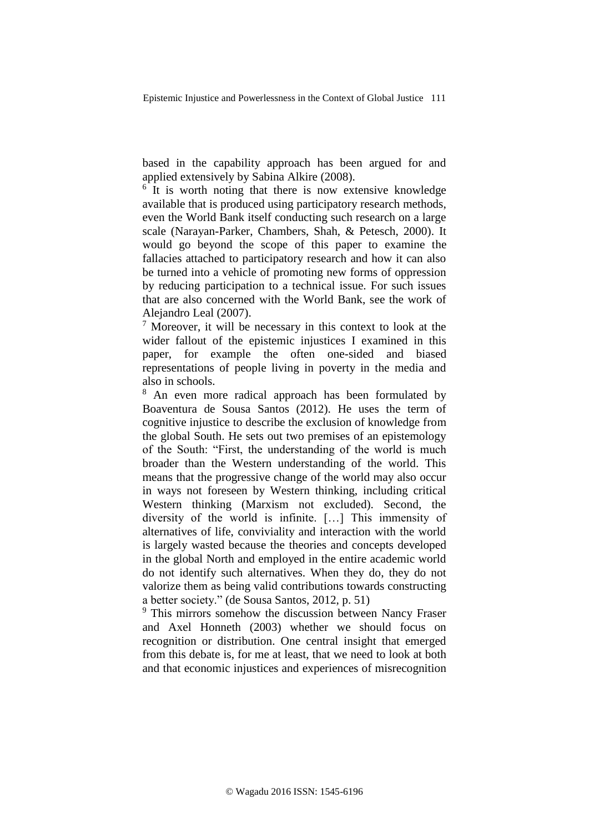based in the capability approach has been argued for and applied extensively by Sabina Alkire (2008).

<sup>6</sup> It is worth noting that there is now extensive knowledge available that is produced using participatory research methods, even the World Bank itself conducting such research on a large scale (Narayan-Parker, Chambers, Shah, & Petesch, 2000). It would go beyond the scope of this paper to examine the fallacies attached to participatory research and how it can also be turned into a vehicle of promoting new forms of oppression by reducing participation to a technical issue. For such issues that are also concerned with the World Bank, see the work of Alejandro Leal (2007).

 $<sup>7</sup>$  Moreover, it will be necessary in this context to look at the</sup> wider fallout of the epistemic injustices I examined in this paper, for example the often one-sided and biased representations of people living in poverty in the media and also in schools.

<sup>8</sup> An even more radical approach has been formulated by Boaventura de Sousa Santos (2012). He uses the term of cognitive injustice to describe the exclusion of knowledge from the global South. He sets out two premises of an epistemology of the South: "First, the understanding of the world is much broader than the Western understanding of the world. This means that the progressive change of the world may also occur in ways not foreseen by Western thinking, including critical Western thinking (Marxism not excluded). Second, the diversity of the world is infinite. […] This immensity of alternatives of life, conviviality and interaction with the world is largely wasted because the theories and concepts developed in the global North and employed in the entire academic world do not identify such alternatives. When they do, they do not valorize them as being valid contributions towards constructing a better society." (de Sousa Santos, 2012, p. 51)

<sup>9</sup> This mirrors somehow the discussion between Nancy Fraser and Axel Honneth (2003) whether we should focus on recognition or distribution. One central insight that emerged from this debate is, for me at least, that we need to look at both and that economic injustices and experiences of misrecognition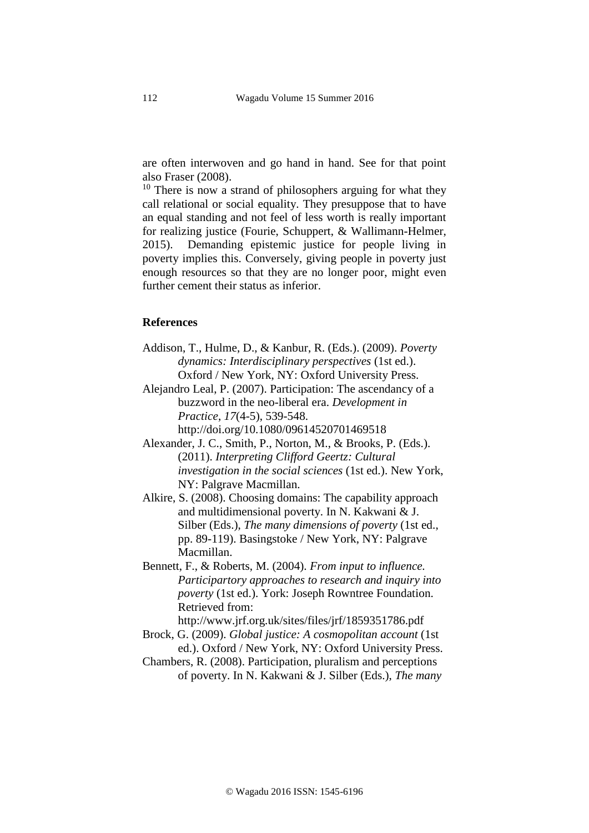are often interwoven and go hand in hand. See for that point also Fraser (2008).

 $10$  There is now a strand of philosophers arguing for what they call relational or social equality. They presuppose that to have an equal standing and not feel of less worth is really important for realizing justice (Fourie, Schuppert, & Wallimann-Helmer, 2015). Demanding epistemic justice for people living in poverty implies this. Conversely, giving people in poverty just enough resources so that they are no longer poor, might even further cement their status as inferior.

## **References**

- Addison, T., Hulme, D., & Kanbur, R. (Eds.). (2009). *Poverty dynamics: Interdisciplinary perspectives* (1st ed.). Oxford / New York, NY: Oxford University Press.
- Alejandro Leal, P. (2007). Participation: The ascendancy of a buzzword in the neo-liberal era. *Development in Practice*, *17*(4-5), 539-548. http://doi.org/10.1080/09614520701469518
- Alexander, J. C., Smith, P., Norton, M., & Brooks, P. (Eds.). (2011). *Interpreting Clifford Geertz: Cultural investigation in the social sciences* (1st ed.). New York, NY: Palgrave Macmillan.
- Alkire, S. (2008). Choosing domains: The capability approach and multidimensional poverty. In N. Kakwani & J. Silber (Eds.), *The many dimensions of poverty* (1st ed., pp. 89-119). Basingstoke / New York, NY: Palgrave Macmillan.
- Bennett, F., & Roberts, M. (2004). *From input to influence. Participartory approaches to research and inquiry into poverty* (1st ed.). York: Joseph Rowntree Foundation. Retrieved from:

http://www.jrf.org.uk/sites/files/jrf/1859351786.pdf

- Brock, G. (2009). *Global justice: A cosmopolitan account* (1st ed.). Oxford / New York, NY: Oxford University Press.
- Chambers, R. (2008). Participation, pluralism and perceptions of poverty. In N. Kakwani & J. Silber (Eds.), *The many*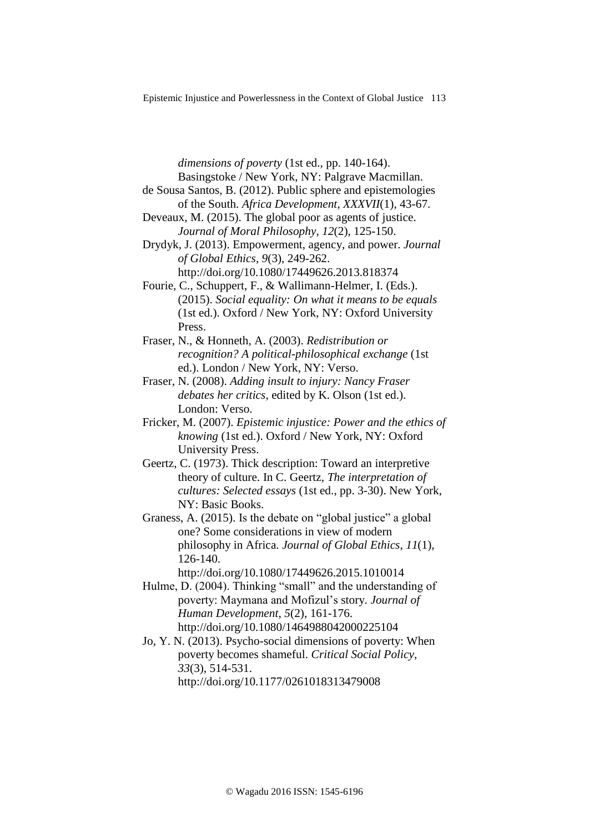*dimensions of poverty* (1st ed., pp. 140-164). Basingstoke / New York, NY: Palgrave Macmillan.

- de Sousa Santos, B. (2012). Public sphere and epistemologies of the South. *Africa Development*, *XXXVII*(1), 43-67.
- Deveaux, M. (2015). The global poor as agents of justice. *Journal of Moral Philosophy*, *12*(2), 125-150.

Drydyk, J. (2013). Empowerment, agency, and power. *Journal of Global Ethics*, *9*(3), 249-262. http://doi.org/10.1080/17449626.2013.818374

- Fourie, C., Schuppert, F., & Wallimann-Helmer, I. (Eds.). (2015). *Social equality: On what it means to be equals* (1st ed.). Oxford / New York, NY: Oxford University Press.
- Fraser, N., & Honneth, A. (2003). *Redistribution or recognition? A political-philosophical exchange* (1st ed.). London / New York, NY: Verso.
- Fraser, N. (2008). *Adding insult to injury: Nancy Fraser debates her critics*, edited by K. Olson (1st ed.). London: Verso.
- Fricker, M. (2007). *Epistemic injustice: Power and the ethics of knowing* (1st ed.). Oxford / New York, NY: Oxford University Press.
- Geertz, C. (1973). Thick description: Toward an interpretive theory of culture. In C. Geertz, *The interpretation of cultures: Selected essays* (1st ed., pp. 3-30). New York, NY: Basic Books.
- Graness, A. (2015). Is the debate on "global justice" a global one? Some considerations in view of modern philosophy in Africa. *Journal of Global Ethics*, *11*(1), 126-140.

http://doi.org/10.1080/17449626.2015.1010014

- Hulme, D. (2004). Thinking "small" and the understanding of poverty: Maymana and Mofizul's story. *Journal of Human Development*, *5*(2), 161-176. http://doi.org/10.1080/1464988042000225104
- Jo, Y. N. (2013). Psycho-social dimensions of poverty: When poverty becomes shameful. *Critical Social Policy*, *33*(3), 514-531. http://doi.org/10.1177/0261018313479008